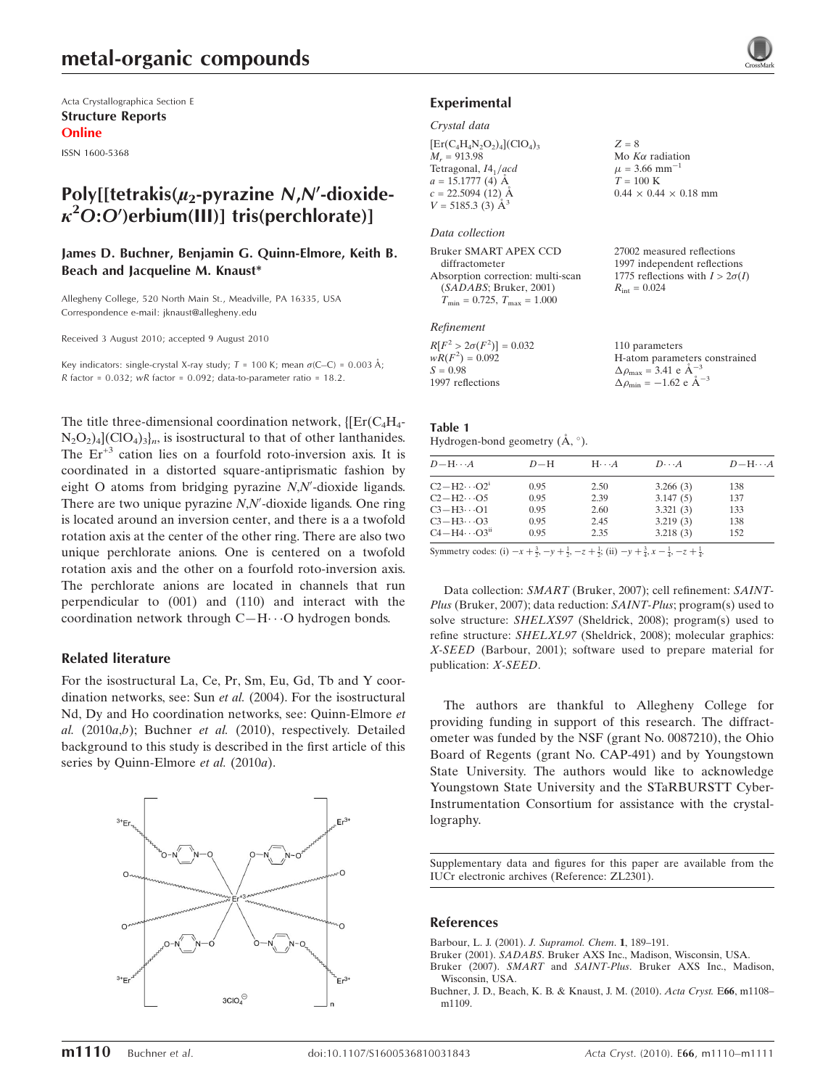Acta Crystallographica Section E Structure Reports Online

ISSN 1600-5368

## Poly[[tetrakis( $\mu_2$ -pyrazine N,N'-dioxide- $\kappa^2$ O:O')erbium(III)] tris(perchlorate)]

#### James D. Buchner, Benjamin G. Quinn-Elmore, Keith B. Beach and Jacqueline M. Knaust\*

Allegheny College, 520 North Main St., Meadville, PA 16335, USA Correspondence e-mail: jknaust@allegheny.edu

Received 3 August 2010; accepted 9 August 2010

Key indicators: single-crystal X-ray study;  $T = 100$  K; mean  $\sigma$ (C–C) = 0.003 Å; R factor =  $0.032$ ; wR factor =  $0.092$ ; data-to-parameter ratio = 18.2.

The title three-dimensional coordination network,  $\{[Er(C_4H_4 N_2O_2$ )<sub>4</sub>](ClO<sub>4</sub>)<sub>3</sub> $]_n$ , is isostructural to that of other lanthanides. The  $Er<sup>+3</sup>$  cation lies on a fourfold roto-inversion axis. It is coordinated in a distorted square-antiprismatic fashion by eight O atoms from bridging pyrazine  $N$ , $N'$ -dioxide ligands. There are two unique pyrazine  $N$ , $N'$ -dioxide ligands. One ring is located around an inversion center, and there is a a twofold rotation axis at the center of the other ring. There are also two unique perchlorate anions. One is centered on a twofold rotation axis and the other on a fourfold roto-inversion axis. The perchlorate anions are located in channels that run perpendicular to (001) and (110) and interact with the coordination network through C-H $\cdots$ O hydrogen bonds.

#### Related literature

For the isostructural La, Ce, Pr, Sm, Eu, Gd, Tb and Y coordination networks, see: Sun et al. (2004). For the isostructural Nd, Dy and Ho coordination networks, see: Quinn-Elmore et al.  $(2010a,b)$ ; Buchner et al.  $(2010)$ , respectively. Detailed background to this study is described in the first article of this series by Quinn-Elmore et al. (2010a).



#### Experimental

#### Crystal data

| $Z = 8$                           |
|-----------------------------------|
| Mo $K\alpha$ radiation            |
| $\mu$ = 3.66 mm <sup>-1</sup>     |
| $T = 100 \text{ K}$               |
| $0.44 \times 0.44 \times 0.18$ mm |
|                                   |
|                                   |

#### Data collection

| 27002 measured reflections             |
|----------------------------------------|
| 1997 independent reflections           |
| 1775 reflections with $I > 2\sigma(I)$ |
| $R_{\rm int} = 0.024$                  |
|                                        |
|                                        |

#### Refinement

| 110 parameters                                             |
|------------------------------------------------------------|
| H-atom parameters constrained                              |
| $\Delta \rho_{\text{max}} = 3.41 \text{ e A}^{-3}$         |
| $\Delta \rho_{\rm min} = -1.62 \text{ e } \text{\AA}^{-3}$ |
|                                                            |

### Table 1

Hydrogen-bond geometry  $(\mathring{A}, \degree)$ .

| $D-H$ | $H \cdot \cdot \cdot A$ | $D\cdots A$ | $D - H \cdots A$ |
|-------|-------------------------|-------------|------------------|
| 0.95  | 2.50                    | 3.266(3)    | 138              |
| 0.95  | 2.39                    | 3.147(5)    | 137              |
| 0.95  | 2.60                    | 3.321(3)    | 133              |
| 0.95  | 2.45                    | 3.219(3)    | 138              |
| 0.95  | 2.35                    | 3.218(3)    | 152              |
|       |                         |             |                  |

Symmetry codes: (i)  $-x + \frac{3}{2}$ ,  $-y + \frac{1}{2}$ ,  $-z + \frac{1}{2}$ ; (ii)  $-y + \frac{3}{4}$ ,  $x - \frac{1}{4}$ ,  $-z + \frac{1}{4}$ .

Data collection: SMART (Bruker, 2007); cell refinement: SAINT-Plus (Bruker, 2007); data reduction: SAINT-Plus; program(s) used to solve structure: SHELXS97 (Sheldrick, 2008); program(s) used to refine structure: SHELXL97 (Sheldrick, 2008); molecular graphics: X-SEED (Barbour, 2001); software used to prepare material for publication: X-SEED.

The authors are thankful to Allegheny College for providing funding in support of this research. The diffractometer was funded by the NSF (grant No. 0087210), the Ohio Board of Regents (grant No. CAP-491) and by Youngstown State University. The authors would like to acknowledge Youngstown State University and the STaRBURSTT Cyber-Instrumentation Consortium for assistance with the crystallography.

Supplementary data and figures for this paper are available from the IUCr electronic archives (Reference: ZL2301).

#### References

- [Barbour, L. J. \(2001\).](https://scripts.iucr.org/cgi-bin/cr.cgi?rm=pdfbb&cnor=zl2301&bbid=BB1) J. Supramol. Chem. 1, 189–191.
- Bruker (2001). SADABS[. Bruker AXS Inc., Madison, Wisconsin, USA.](https://scripts.iucr.org/cgi-bin/cr.cgi?rm=pdfbb&cnor=zl2301&bbid=BB8)
- Bruker (2007). SMART and SAINT-Plus[. Bruker AXS Inc., Madison,](https://scripts.iucr.org/cgi-bin/cr.cgi?rm=pdfbb&cnor=zl2301&bbid=BB2) [Wisconsin, USA.](https://scripts.iucr.org/cgi-bin/cr.cgi?rm=pdfbb&cnor=zl2301&bbid=BB2)
- [Buchner, J. D., Beach, K. B. & Knaust, J. M. \(2010\).](https://scripts.iucr.org/cgi-bin/cr.cgi?rm=pdfbb&cnor=zl2301&bbid=BB3) Acta Cryst. E66, m1108– [m1109.](https://scripts.iucr.org/cgi-bin/cr.cgi?rm=pdfbb&cnor=zl2301&bbid=BB3)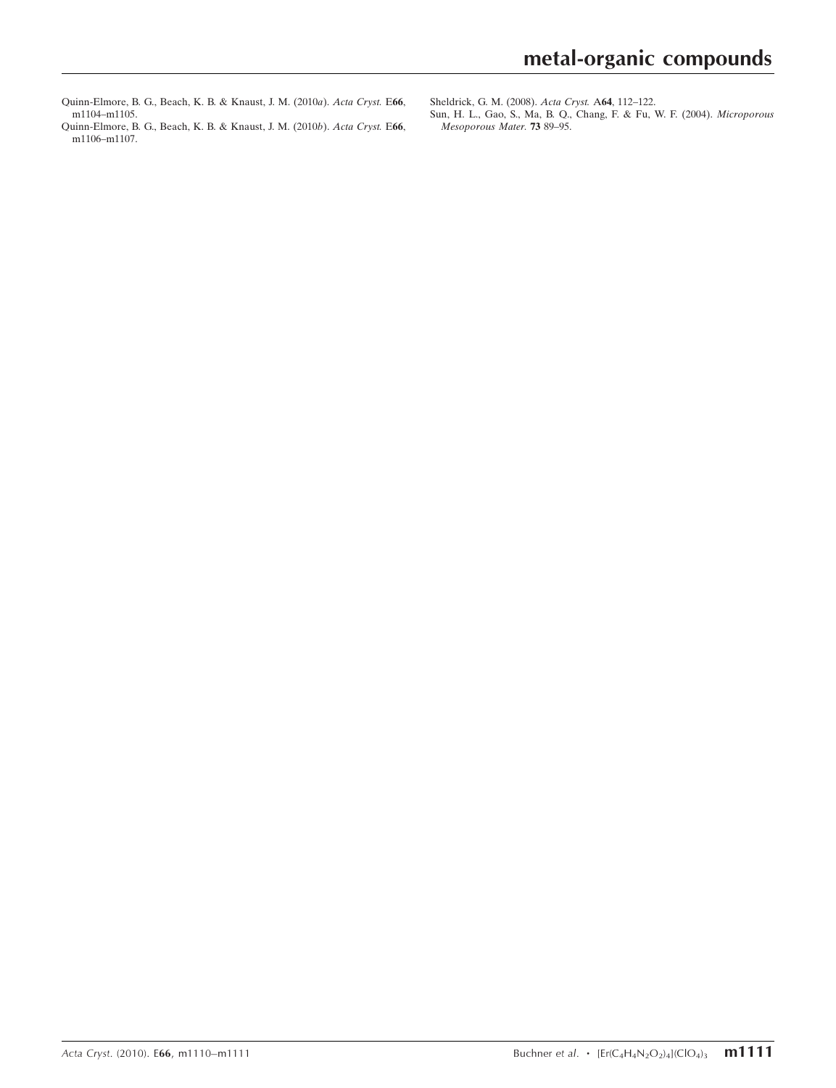- [Quinn-Elmore, B. G., Beach, K. B. & Knaust, J. M. \(2010](https://scripts.iucr.org/cgi-bin/cr.cgi?rm=pdfbb&cnor=zl2301&bbid=BB4)a). Acta Cryst. E66, [m1104–m1105.](https://scripts.iucr.org/cgi-bin/cr.cgi?rm=pdfbb&cnor=zl2301&bbid=BB4)
- [Quinn-Elmore, B. G., Beach, K. B. & Knaust, J. M. \(2010](https://scripts.iucr.org/cgi-bin/cr.cgi?rm=pdfbb&cnor=zl2301&bbid=BB5)b). Acta Cryst. E66, [m1106–m1107.](https://scripts.iucr.org/cgi-bin/cr.cgi?rm=pdfbb&cnor=zl2301&bbid=BB5)

[Sun, H. L., Gao, S., Ma, B. Q., Chang, F. & Fu, W. F. \(2004\).](https://scripts.iucr.org/cgi-bin/cr.cgi?rm=pdfbb&cnor=zl2301&bbid=BB7) Microporous [Mesoporous Mater.](https://scripts.iucr.org/cgi-bin/cr.cgi?rm=pdfbb&cnor=zl2301&bbid=BB7) 73 89–95.

[Sheldrick, G. M. \(2008\).](https://scripts.iucr.org/cgi-bin/cr.cgi?rm=pdfbb&cnor=zl2301&bbid=BB6) Acta Cryst. A64, 112–122.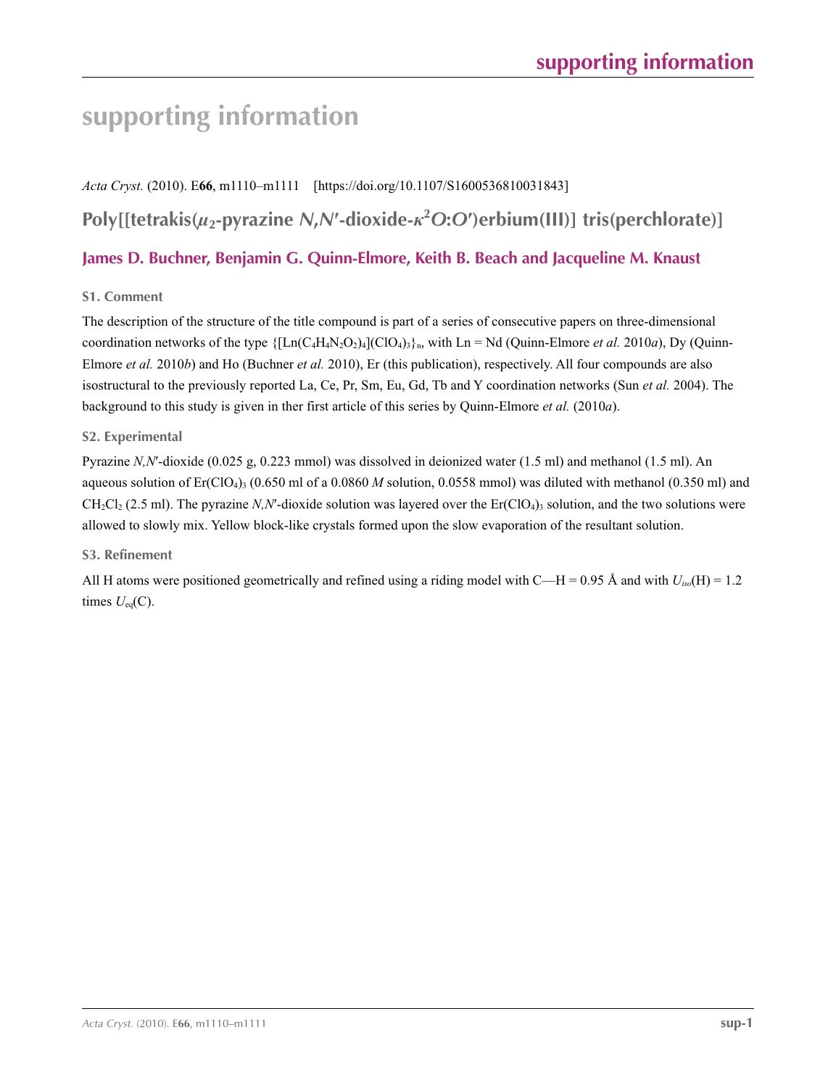# **supporting information**

*Acta Cryst.* (2010). E**66**, m1110–m1111 [https://doi.org/10.1107/S1600536810031843] **Poly[[tetrakis(***µ***2-pyrazine** *N***,***N***′-dioxide-***κ***<sup>2</sup>** *O***:***O***′)erbium(III)] tris(perchlorate)] James D. Buchner, Benjamin G. Quinn-Elmore, Keith B. Beach and Jacqueline M. Knaust**

### **S1. Comment**

The description of the structure of the title compound is part of a series of consecutive papers on three-dimensional coordination networks of the type  $\{[Ln(C_4H_4N_2O_2)_4](ClO_4)\}$ <sub>h</sub>, with Ln = Nd (Quinn-Elmore *et al.* 2010*a*), Dy (Quinn-Elmore *et al.* 2010*b*) and Ho (Buchner *et al.* 2010), Er (this publication), respectively. All four compounds are also isostructural to the previously reported La, Ce, Pr, Sm, Eu, Gd, Tb and Y coordination networks (Sun *et al.* 2004). The background to this study is given in ther first article of this series by Quinn-Elmore *et al.* (2010*a*).

#### **S2. Experimental**

Pyrazine *N,N*′-dioxide (0.025 g, 0.223 mmol) was dissolved in deionized water (1.5 ml) and methanol (1.5 ml). An aqueous solution of  $E_r(C|O_4)$ <sub>3</sub> (0.650 ml of a 0.0860 *M* solution, 0.0558 mmol) was diluted with methanol (0.350 ml) and  $CH_2Cl_2$  (2.5 ml). The pyrazine *N,N'*-dioxide solution was layered over the  $Er(ClO_4)$ <sub>3</sub> solution, and the two solutions were allowed to slowly mix. Yellow block-like crystals formed upon the slow evaporation of the resultant solution.

#### **S3. Refinement**

All H atoms were positioned geometrically and refined using a riding model with C—H = 0.95 Å and with  $U_{i\omega}(\text{H}) = 1.2$ times  $U_{eq}(C)$ .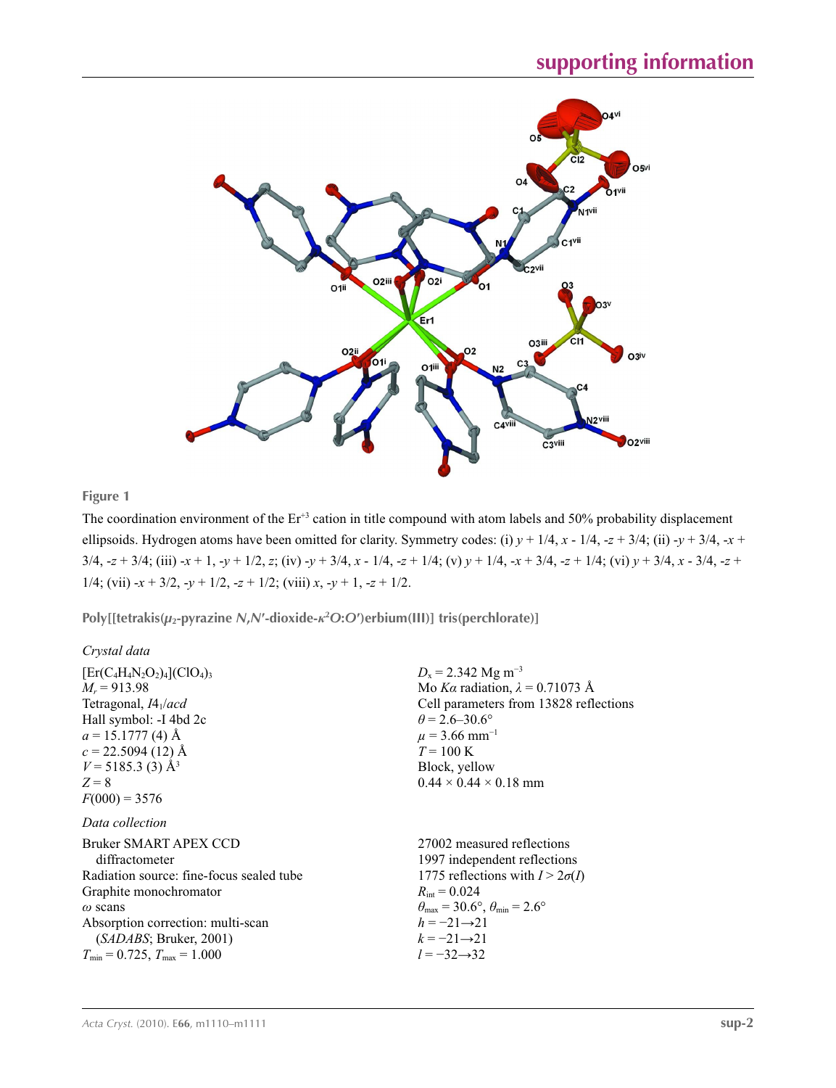

#### **Figure 1**

The coordination environment of the Er<sup>+3</sup> cation in title compound with atom labels and 50% probability displacement ellipsoids. Hydrogen atoms have been omitted for clarity. Symmetry codes: (i)  $y + 1/4$ ,  $x - 1/4$ ,  $-z + 3/4$ ; (ii)  $-y + 3/4$ ,  $-x +$  $3/4$ ,  $-z + 3/4$ ; (iii)  $-x + 1$ ,  $-y + 1/2$ , z; (iv)  $-y + 3/4$ ,  $x - 1/4$ ,  $-z + 1/4$ ; (v)  $y + 1/4$ ,  $-x + 3/4$ ,  $-z + 1/4$ ; (vi)  $y + 3/4$ ,  $x - 3/4$ ,  $-z + 1/4$ 1/4; (vii)  $-x + 3/2$ ,  $-y + 1/2$ ,  $-z + 1/2$ ; (viii)  $x, -y + 1$ ,  $-z + 1/2$ .

**Poly[[tetrakis(***µ***2-pyrazine** *N***,***N***′-dioxide-***κ***<sup>2</sup>** *O***:***O***′)erbium(III)] tris(perchlorate)]** 

| Crystal data                                                                                                                                                                                                                                                 |                                                                                                                                                                                                                                                                                     |
|--------------------------------------------------------------------------------------------------------------------------------------------------------------------------------------------------------------------------------------------------------------|-------------------------------------------------------------------------------------------------------------------------------------------------------------------------------------------------------------------------------------------------------------------------------------|
| $[Er(C_4H_4N_2O_2)_4]$ (ClO <sub>4</sub> ) <sub>3</sub><br>$M_r = 913.98$<br>Tetragonal, $I4_1/acd$<br>Hall symbol: -I 4bd 2c<br>$a = 15.1777(4)$ Å<br>$c = 22.5094(12)$ Å<br>$V = 5185.3$ (3) Å <sup>3</sup><br>$Z = 8$<br>$F(000) = 3576$                  | $D_x = 2.342$ Mg m <sup>-3</sup><br>Mo Ka radiation, $\lambda = 0.71073$ Å<br>Cell parameters from 13828 reflections<br>$\theta$ = 2.6–30.6°<br>$\mu$ = 3.66 mm <sup>-1</sup><br>$T = 100 \text{ K}$<br>Block, yellow<br>$0.44 \times 0.44 \times 0.18$ mm                          |
| Data collection<br>Bruker SMART APEX CCD<br>diffractometer<br>Radiation source: fine-focus sealed tube<br>Graphite monochromator<br>$\omega$ scans<br>Absorption correction: multi-scan<br>(SADABS; Bruker, 2001)<br>$T_{\min} = 0.725$ , $T_{\max} = 1.000$ | 27002 measured reflections<br>1997 independent reflections<br>1775 reflections with $I > 2\sigma(I)$<br>$R_{\text{int}} = 0.024$<br>$\theta_{\text{max}}$ = 30.6°, $\theta_{\text{min}}$ = 2.6°<br>$h = -21 \rightarrow 21$<br>$k = -21 \rightarrow 21$<br>$l = -32 \rightarrow 32$ |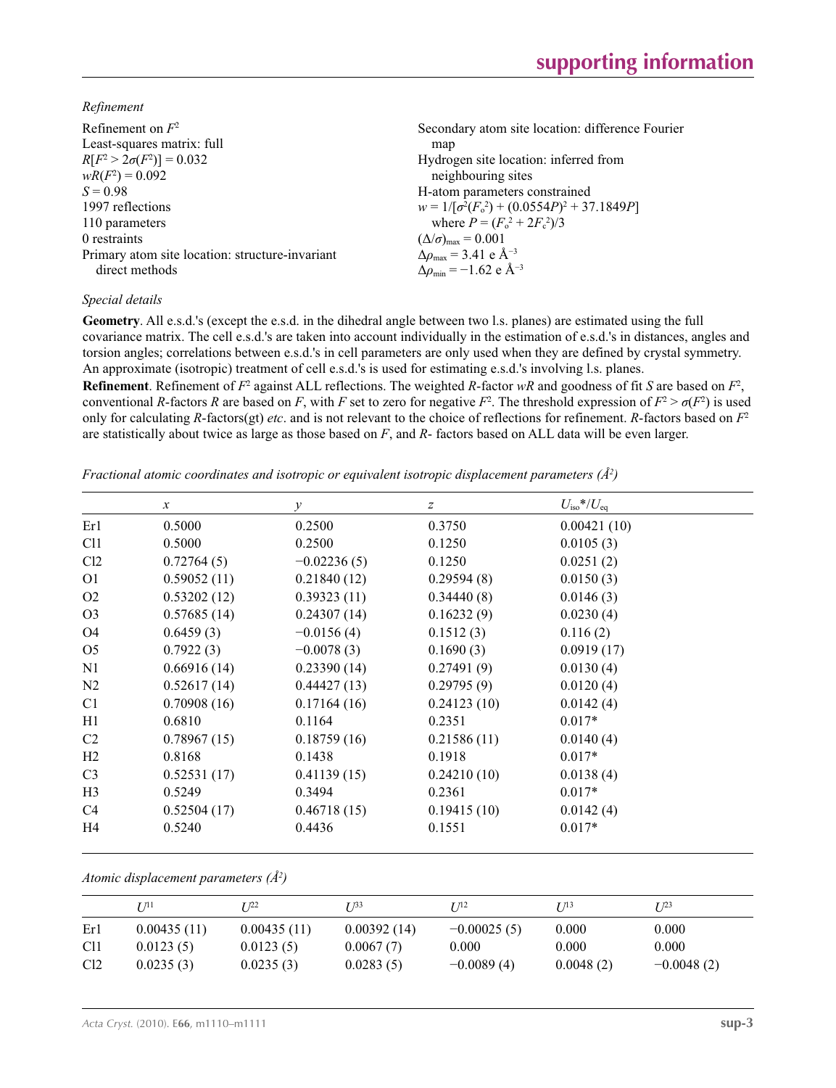*Refinement*

| Refinement on $F^2$<br>Least-squares matrix: full<br>$R[F^2 > 2\sigma(F^2)] = 0.032$ | Secondary atom site location: difference Fourier<br>map<br>Hydrogen site location: inferred from                 |
|--------------------------------------------------------------------------------------|------------------------------------------------------------------------------------------------------------------|
| $wR(F^2) = 0.092$                                                                    | neighbouring sites                                                                                               |
| $S = 0.98$                                                                           | H-atom parameters constrained                                                                                    |
| 1997 reflections                                                                     | $w = 1/[\sigma^2(F_0^2) + (0.0554P)^2 + 37.1849P]$                                                               |
| 110 parameters                                                                       | where $P = (F_0^2 + 2F_c^2)/3$                                                                                   |
| 0 restraints                                                                         | $(\Delta/\sigma)_{\text{max}} = 0.001$                                                                           |
| Primary atom site location: structure-invariant<br>direct methods                    | $\Delta\rho_{\text{max}} = 3.41 \text{ e } \text{\AA}^{-3}$<br>$\Delta \rho_{\rm min} = -1.62$ e Å <sup>-3</sup> |

#### *Special details*

**Geometry**. All e.s.d.'s (except the e.s.d. in the dihedral angle between two l.s. planes) are estimated using the full covariance matrix. The cell e.s.d.'s are taken into account individually in the estimation of e.s.d.'s in distances, angles and torsion angles; correlations between e.s.d.'s in cell parameters are only used when they are defined by crystal symmetry. An approximate (isotropic) treatment of cell e.s.d.'s is used for estimating e.s.d.'s involving l.s. planes.

**Refinement**. Refinement of  $F^2$  against ALL reflections. The weighted R-factor wR and goodness of fit *S* are based on  $F^2$ , conventional *R*-factors *R* are based on *F*, with *F* set to zero for negative  $F^2$ . The threshold expression of  $F^2 > \sigma(F^2)$  is used only for calculating *R*-factors(gt) *etc*. and is not relevant to the choice of reflections for refinement. *R*-factors based on *F*<sup>2</sup> are statistically about twice as large as those based on *F*, and *R*- factors based on ALL data will be even larger.

*Fractional atomic coordinates and isotropic or equivalent isotropic displacement parameters (Å<sup>2</sup>)* 

|                 | $\mathcal{X}$ | $\mathcal{Y}$ | $\boldsymbol{Z}$ | $U_{\rm iso}*/U_{\rm eq}$ |
|-----------------|---------------|---------------|------------------|---------------------------|
| Er1             | 0.5000        | 0.2500        | 0.3750           | 0.00421(10)               |
| C <sub>11</sub> | 0.5000        | 0.2500        | 0.1250           | 0.0105(3)                 |
| Cl2             | 0.72764(5)    | $-0.02236(5)$ | 0.1250           | 0.0251(2)                 |
| O <sub>1</sub>  | 0.59052(11)   | 0.21840(12)   | 0.29594(8)       | 0.0150(3)                 |
| O <sub>2</sub>  | 0.53202(12)   | 0.39323(11)   | 0.34440(8)       | 0.0146(3)                 |
| O <sub>3</sub>  | 0.57685(14)   | 0.24307(14)   | 0.16232(9)       | 0.0230(4)                 |
| O4              | 0.6459(3)     | $-0.0156(4)$  | 0.1512(3)        | 0.116(2)                  |
| O <sub>5</sub>  | 0.7922(3)     | $-0.0078(3)$  | 0.1690(3)        | 0.0919(17)                |
| N1              | 0.66916(14)   | 0.23390(14)   | 0.27491(9)       | 0.0130(4)                 |
| N <sub>2</sub>  | 0.52617(14)   | 0.44427(13)   | 0.29795(9)       | 0.0120(4)                 |
| C <sub>1</sub>  | 0.70908(16)   | 0.17164(16)   | 0.24123(10)      | 0.0142(4)                 |
| H1              | 0.6810        | 0.1164        | 0.2351           | $0.017*$                  |
| C2              | 0.78967(15)   | 0.18759(16)   | 0.21586(11)      | 0.0140(4)                 |
| H2              | 0.8168        | 0.1438        | 0.1918           | $0.017*$                  |
| C <sub>3</sub>  | 0.52531(17)   | 0.41139(15)   | 0.24210(10)      | 0.0138(4)                 |
| H <sub>3</sub>  | 0.5249        | 0.3494        | 0.2361           | $0.017*$                  |
| C <sub>4</sub>  | 0.52504(17)   | 0.46718(15)   | 0.19415(10)      | 0.0142(4)                 |
| H4              | 0.5240        | 0.4436        | 0.1551           | $0.017*$                  |

*Atomic displacement parameters (Å2 )*

|                 | 1 71 1      | T 122       | T 133       | T 112         | I/13      | T 1 <sup>23</sup> |
|-----------------|-------------|-------------|-------------|---------------|-----------|-------------------|
| Er1             | 0.00435(11) | 0.00435(11) | 0.00392(14) | $-0.00025(5)$ | 0.000     | 0.000             |
| C <sub>11</sub> | 0.0123(5)   | 0.0123(5)   | 0.0067(7)   | 0.000         | 0.000     | 0.000             |
| Cl <sub>2</sub> | 0.0235(3)   | 0.0235(3)   | 0.0283(5)   | $-0.0089(4)$  | 0.0048(2) | $-0.0048(2)$      |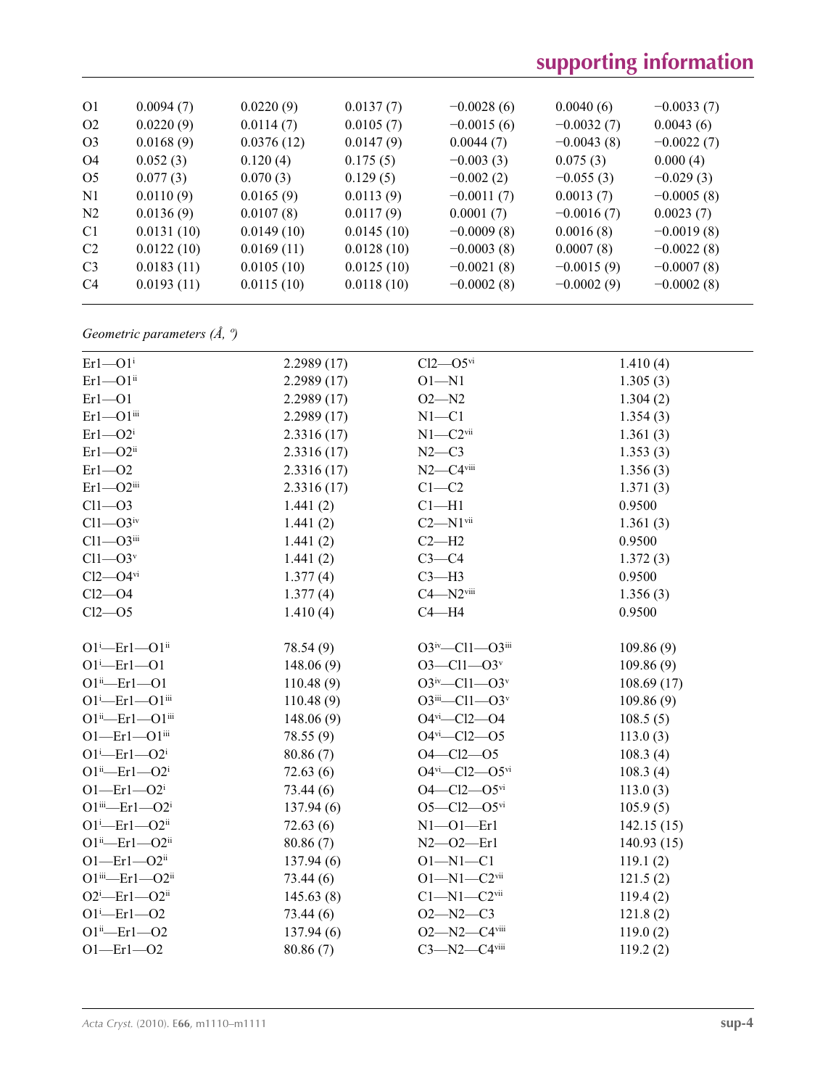## **supporting information**

| O <sub>1</sub> | 0.0094(7)  | 0.0220(9)  | 0.0137(7)  | $-0.0028(6)$ | 0.0040(6)    | $-0.0033(7)$ |
|----------------|------------|------------|------------|--------------|--------------|--------------|
| O <sub>2</sub> | 0.0220(9)  | 0.0114(7)  | 0.0105(7)  | $-0.0015(6)$ | $-0.0032(7)$ | 0.0043(6)    |
| O <sub>3</sub> | 0.0168(9)  | 0.0376(12) | 0.0147(9)  | 0.0044(7)    | $-0.0043(8)$ | $-0.0022(7)$ |
| O4             | 0.052(3)   | 0.120(4)   | 0.175(5)   | $-0.003(3)$  | 0.075(3)     | 0.000(4)     |
| O <sub>5</sub> | 0.077(3)   | 0.070(3)   | 0.129(5)   | $-0.002(2)$  | $-0.055(3)$  | $-0.029(3)$  |
| N1             | 0.0110(9)  | 0.0165(9)  | 0.0113(9)  | $-0.0011(7)$ | 0.0013(7)    | $-0.0005(8)$ |
| N <sub>2</sub> | 0.0136(9)  | 0.0107(8)  | 0.0117(9)  | 0.0001(7)    | $-0.0016(7)$ | 0.0023(7)    |
| C <sub>1</sub> | 0.0131(10) | 0.0149(10) | 0.0145(10) | $-0.0009(8)$ | 0.0016(8)    | $-0.0019(8)$ |
| C <sub>2</sub> | 0.0122(10) | 0.0169(11) | 0.0128(10) | $-0.0003(8)$ | 0.0007(8)    | $-0.0022(8)$ |
| C <sub>3</sub> | 0.0183(11) | 0.0105(10) | 0.0125(10) | $-0.0021(8)$ | $-0.0015(9)$ | $-0.0007(8)$ |
| C <sub>4</sub> | 0.0193(11) | 0.0115(10) | 0.0118(10) | $-0.0002(8)$ | $-0.0002(9)$ | $-0.0002(8)$ |
|                |            |            |            |              |              |              |

## *Geometric parameters (Å, º)*

| $Er1 - O1$ <sup>i</sup>                       | 2.2989(17) | $Cl2$ — $O5$ <sup>vi</sup>               | 1.410(4)   |
|-----------------------------------------------|------------|------------------------------------------|------------|
| $Er1 - O1$ <sup>ii</sup>                      | 2.2989(17) | $O1 - N1$                                | 1.305(3)   |
| $Er1 - O1$                                    | 2.2989(17) | $O2 - N2$                                | 1.304(2)   |
| $Er1 - O1$ <sup>iii</sup>                     | 2.2989(17) | $N1 - C1$                                | 1.354(3)   |
| $Er1 - O2i$                                   | 2.3316(17) | $N1 - C2$ <sup>vii</sup>                 | 1.361(3)   |
| $Er1 - O2$ <sup>ii</sup>                      | 2.3316(17) | $N2-C3$                                  | 1.353(3)   |
| $Er1 - O2$                                    | 2.3316(17) | $N2-C4$ viii                             | 1.356(3)   |
| $Er1 - O2$ <sup>iii</sup>                     | 2.3316(17) | $C1 - C2$                                | 1.371(3)   |
| $Cl1 - O3$                                    | 1.441(2)   | $Cl-H1$                                  | 0.9500     |
| $Cl1 - O3$ iv                                 | 1.441(2)   | $C2 - N1$ <sup>vii</sup>                 | 1.361(3)   |
| $Cl1 - O3$ iii                                | 1.441(2)   | $C2-H2$                                  | 0.9500     |
| $Cl1 - O3v$                                   | 1.441(2)   | $C3-C4$                                  | 1.372(3)   |
| $Cl2$ — $O4$ <sup>vi</sup>                    | 1.377(4)   | $C3-H3$                                  | 0.9500     |
| $Cl2$ -O4                                     | 1.377(4)   | $C4 - N2$ <sup>viii</sup>                | 1.356(3)   |
| $Cl2 - O5$                                    | 1.410(4)   | $C4 - H4$                                | 0.9500     |
| $O1^{i}$ -Erl- $O1^{ii}$                      |            | $O3^{iv}$ -Cl1- $O3^{iii}$               |            |
| $O1^{i}$ -Erl- $O1$                           | 78.54 (9)  | $O3 - Cl1 - O3v$                         | 109.86(9)  |
| $O1^{ii}$ -Erl- $O1$                          | 148.06(9)  | $O3^{iv}$ -Cl1- $O3^{v}$                 | 109.86(9)  |
| $O1^i$ -Er $1$ - $O1$ <sup>iii</sup>          | 110.48(9)  | $O3$ <sup>iii</sup> —Cl1—O3 <sup>v</sup> | 108.69(17) |
|                                               | 110.48(9)  | $O4$ <sup>vi</sup> -Cl2- $O4$            | 109.86(9)  |
| $O1^{ii}$ -Er $1$ - $O1^{iii}$                | 148.06(9)  | $O4$ <sup>vi</sup> - $Cl2$ - $O5$        | 108.5(5)   |
| $O1$ —Er $1$ — $O1$ <sup>iii</sup>            | 78.55(9)   |                                          | 113.0(3)   |
| $O1^{i}$ -Er $1$ - $O2^{i}$                   | 80.86(7)   | $O4 - Cl2 - O5$                          | 108.3(4)   |
| $O1^{ii}$ -Erl- $O2^i$                        | 72.63(6)   | $O4^{vi}$ - $Cl2$ - $O5^{vi}$            | 108.3(4)   |
| $O1$ —Erl—O2 <sup>i</sup>                     | 73.44(6)   | $O4 - Cl2 - O5$ <sup>vi</sup>            | 113.0(3)   |
| $O1$ <sup>iii</sup> —Er $1 - O2$ <sup>i</sup> | 137.94(6)  | $O5 - Cl2 - O5$ <sup>vi</sup>            | 105.9(5)   |
| $O1^i$ -Er $1$ - $O2^{ii}$                    | 72.63(6)   | $N1 - 01 - Er1$                          | 142.15(15) |
| $O1^{ii}$ -Er $1$ - $O2^{ii}$                 | 80.86(7)   | $N2 - 02 - Er1$                          | 140.93(15) |
| $O1$ —Er $1$ — $O2$ <sup>ii</sup>             | 137.94(6)  | $O1 - N1 - C1$                           | 119.1(2)   |
| $O1$ iii—Er $1 - O2$ ii                       | 73.44(6)   | $O1 - N1 - C2$ <sup>vii</sup>            | 121.5(2)   |
| $O2^i$ -Erl- $O2^i$                           | 145.63(8)  | $C1 - N1 - C2$ <sup>vii</sup>            | 119.4(2)   |
| $O1^{i}$ -Erl- $O2$                           | 73.44(6)   | $O2 - N2 - C3$                           | 121.8(2)   |
| $O1^{ii}$ -Erl- $O2$                          | 137.94(6)  | $O2 - N2 - C4$ <sup>viii</sup>           | 119.0(2)   |
| $O1 - Er1 - O2$                               | 80.86(7)   | $C3 - N2 - C4$ viii                      | 119.2(2)   |